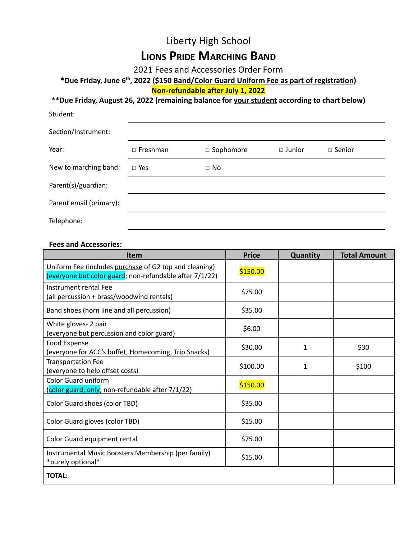# Liberty High School **LIONS PRIDE MARCHING BAND**

2021 Fees and Accessories Order Form

### **\*Due Friday, June 6th , 2022 (\$150 Band/Color Guard Uniform Fee as part of registration)**

**Non-refundable after July 1, 2022**

#### **\*\*Due Friday, August 26, 2022 (remaining balance for your student according to chart below)**

| Student:                |                 |             |               |               |  |
|-------------------------|-----------------|-------------|---------------|---------------|--|
| Section/Instrument:     |                 |             |               |               |  |
| Year:                   | $\Box$ Freshman | □ Sophomore | $\Box$ Junior | $\Box$ Senior |  |
| New to marching band:   | $\Box$ Yes      | $\Box$ No   |               |               |  |
| Parent(s)/guardian:     |                 |             |               |               |  |
| Parent email (primary): |                 |             |               |               |  |
| Telephone:              |                 |             |               |               |  |

#### **Fees and Accessories:**

| <b>Item</b>                                                                                                       | <b>Price</b> | Quantity | <b>Total Amount</b> |
|-------------------------------------------------------------------------------------------------------------------|--------------|----------|---------------------|
| Uniform Fee (includes purchase of G2 top and cleaning)<br>(everyone but color guard; non-refundable after 7/1/22) | \$150.00     |          |                     |
| Instrument rental Fee<br>(all percussion + brass/woodwind rentals)                                                | \$75.00      |          |                     |
| Band shoes (horn line and all percussion)                                                                         | \$35.00      |          |                     |
| White gloves- 2 pair<br>(everyone but percussion and color guard)                                                 | \$6.00       |          |                     |
| Food Expense<br>(everyone for ACC's buffet, Homecoming, Trip Snacks)                                              | \$30.00      | 1        | \$30                |
| <b>Transportation Fee</b><br>(everyone to help offset costs)                                                      | \$100.00     | 1        | \$100               |
| Color Guard uniform<br>(color guard, only; non-refundable after 7/1/22)                                           | \$150.00     |          |                     |
| Color Guard shoes (color TBD)                                                                                     | \$35.00      |          |                     |
| Color Guard gloves (color TBD)                                                                                    | \$15.00      |          |                     |
| Color Guard equipment rental                                                                                      | \$75.00      |          |                     |
| Instrumental Music Boosters Membership (per family)<br>*purely optional*                                          | \$15.00      |          |                     |
| <b>TOTAL:</b>                                                                                                     |              |          |                     |